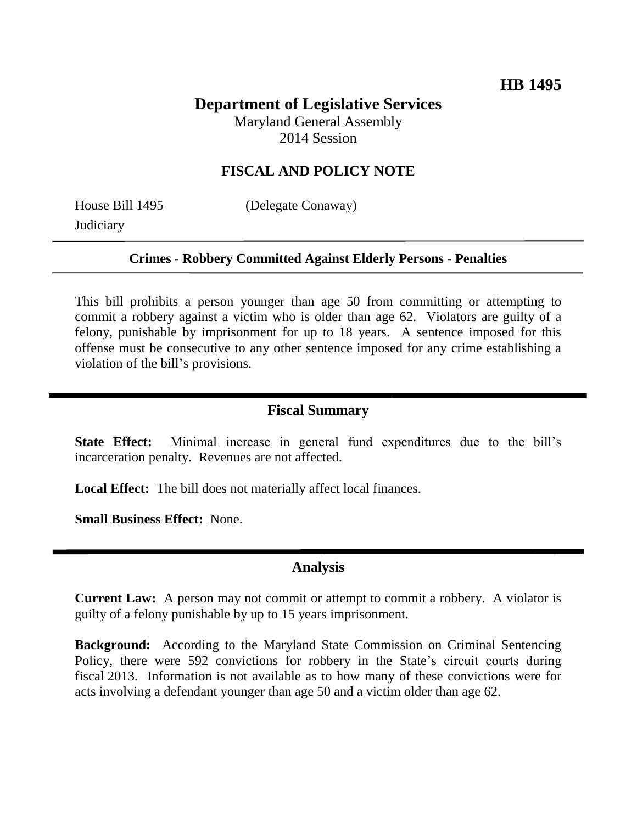# **Department of Legislative Services**

Maryland General Assembly 2014 Session

## **FISCAL AND POLICY NOTE**

**Judiciary** 

House Bill 1495 (Delegate Conaway)

#### **Crimes - Robbery Committed Against Elderly Persons - Penalties**

This bill prohibits a person younger than age 50 from committing or attempting to commit a robbery against a victim who is older than age 62. Violators are guilty of a felony, punishable by imprisonment for up to 18 years. A sentence imposed for this offense must be consecutive to any other sentence imposed for any crime establishing a violation of the bill's provisions.

## **Fiscal Summary**

**State Effect:** Minimal increase in general fund expenditures due to the bill's incarceration penalty. Revenues are not affected.

**Local Effect:** The bill does not materially affect local finances.

**Small Business Effect:** None.

### **Analysis**

**Current Law:** A person may not commit or attempt to commit a robbery. A violator is guilty of a felony punishable by up to 15 years imprisonment.

**Background:** According to the Maryland State Commission on Criminal Sentencing Policy, there were 592 convictions for robbery in the State's circuit courts during fiscal 2013. Information is not available as to how many of these convictions were for acts involving a defendant younger than age 50 and a victim older than age 62.